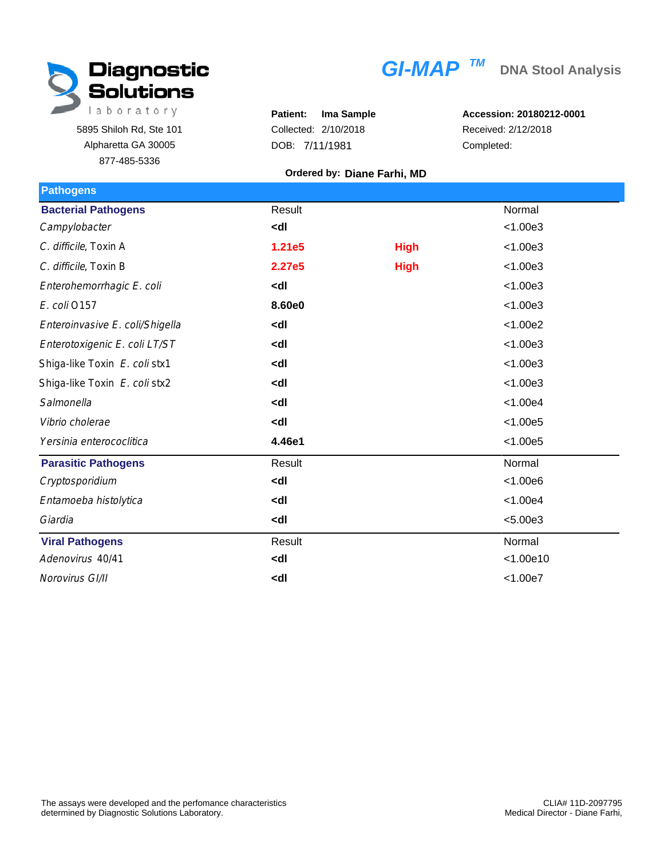

5895 Shiloh Rd, Ste 101 Alpharetta GA 30005 877-485-5336

|  | $GI-MAP$ <sup>TM</sup> |  |
|--|------------------------|--|

**Patient: Ima Sample** Collected: 2/10/2018 DOB: 7/11/1981

**Accession: 20180212-0001** Received: 2/12/2018 Completed:

## **Ordered by: Diane Farhi, MD**

| Result                                          |             | Normal    |
|-------------------------------------------------|-------------|-----------|
| <dl< td=""><td></td><td>&lt; 1.00e3</td></dl<>  |             | < 1.00e3  |
| 1.21e5                                          | <b>High</b> | < 1.00e3  |
| 2.27e5                                          | <b>High</b> | < 1.00e3  |
| <dl< td=""><td></td><td>&lt; 1.00e3</td></dl<>  |             | < 1.00e3  |
| 8.60e0                                          |             | < 1.00e3  |
| <dl< td=""><td></td><td>&lt; 1.00e2</td></dl<>  |             | < 1.00e2  |
| <dl< td=""><td></td><td>&lt; 1.00e3</td></dl<>  |             | < 1.00e3  |
| <dl< td=""><td></td><td>&lt; 1.00e3</td></dl<>  |             | < 1.00e3  |
| <dl< td=""><td></td><td>&lt; 1.00e3</td></dl<>  |             | < 1.00e3  |
| <dl< td=""><td></td><td>&lt; 1.00e4</td></dl<>  |             | < 1.00e4  |
| <dl< td=""><td></td><td>&lt; 1.00e5</td></dl<>  |             | < 1.00e5  |
| 4.46e1                                          |             | < 1.00e5  |
| Result                                          |             | Normal    |
| <dl< td=""><td></td><td>&lt; 1.00e6</td></dl<>  |             | < 1.00e6  |
| <dl< td=""><td></td><td>&lt; 1.00e4</td></dl<>  |             | < 1.00e4  |
| <dl< td=""><td></td><td>&lt; 5.00e3</td></dl<>  |             | < 5.00e3  |
| Result                                          |             | Normal    |
| <dl< td=""><td></td><td>&lt; 1.00e10</td></dl<> |             | < 1.00e10 |
| <dl< td=""><td></td><td>&lt; 1.00e7</td></dl<>  |             | < 1.00e7  |
|                                                 |             |           |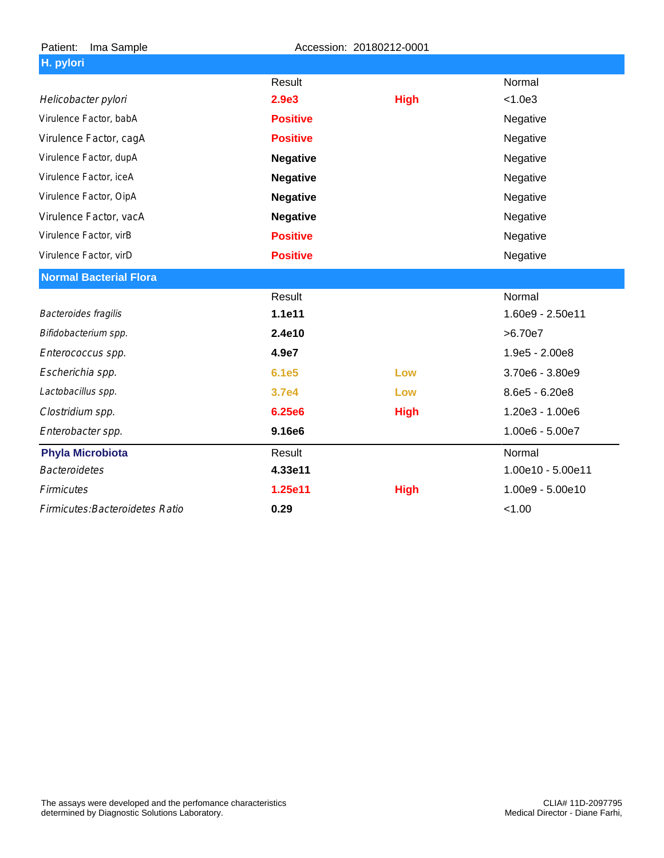| Patient:<br>Ima Sample          | Accession: 20180212-0001 |             |                   |
|---------------------------------|--------------------------|-------------|-------------------|
| H. pylori                       |                          |             |                   |
|                                 | Result                   |             | Normal            |
| Helicobacter pylori             | 2.9e3                    | <b>High</b> | < 1.0e3           |
| Virulence Factor, babA          | <b>Positive</b>          |             | Negative          |
| Virulence Factor, cagA          | <b>Positive</b>          |             | Negative          |
| Virulence Factor, dupA          | <b>Negative</b>          |             | Negative          |
| Virulence Factor, iceA          | <b>Negative</b>          |             | Negative          |
| Virulence Factor, OipA          | <b>Negative</b>          |             | Negative          |
| Virulence Factor, vacA          | <b>Negative</b>          |             | Negative          |
| Virulence Factor, virB          | <b>Positive</b>          |             | Negative          |
| Virulence Factor, virD          | <b>Positive</b>          |             | Negative          |
| <b>Normal Bacterial Flora</b>   |                          |             |                   |
|                                 | Result                   |             | Normal            |
| Bacteroides fragilis            | 1.1e11                   |             | 1.60e9 - 2.50e11  |
| Bifidobacterium spp.            | 2.4e10                   |             | >6.70e7           |
| Enterococcus spp.               | 4.9e7                    |             | 1.9e5 - 2.00e8    |
| Escherichia spp.                | 6.1e5                    | Low         | 3.70e6 - 3.80e9   |
| Lactobacillus spp.              | 3.7e4                    | Low         | 8.6e5 - 6.20e8    |
| Clostridium spp.                | <b>6.25e6</b>            | <b>High</b> | 1.20e3 - 1.00e6   |
| Enterobacter spp.               | 9.16e6                   |             | 1.00e6 - 5.00e7   |
| <b>Phyla Microbiota</b>         | Result                   |             | Normal            |
| <b>Bacteroidetes</b>            | 4.33e11                  |             | 1.00e10 - 5.00e11 |
| <b>Firmicutes</b>               | 1.25e11                  | <b>High</b> | 1.00e9 - 5.00e10  |
| Firmicutes: Bacteroidetes Ratio | 0.29                     |             | < 1.00            |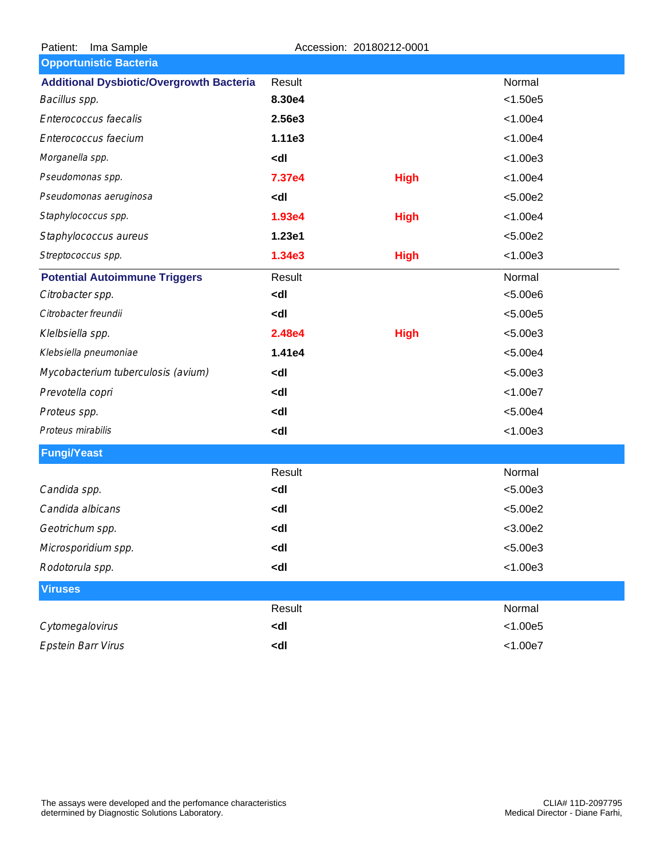| Ima Sample<br>Patient:                          |                                                            | Accession: 20180212-0001 |            |
|-------------------------------------------------|------------------------------------------------------------|--------------------------|------------|
| <b>Opportunistic Bacteria</b>                   |                                                            |                          |            |
| <b>Additional Dysbiotic/Overgrowth Bacteria</b> | Result                                                     |                          | Normal     |
| Bacillus spp.                                   | 8.30e4                                                     |                          | < 1.50e5   |
| Enterococcus faecalis                           | 2.56e3                                                     |                          | < 1.00e4   |
| Enterococcus faecium                            | 1.11e3                                                     |                          | < 1.00e4   |
| Morganella spp.                                 | <dl< td=""><td></td><td>&lt; 1.00e3</td></dl<>             |                          | < 1.00e3   |
| Pseudomonas spp.                                | 7.37e4                                                     | <b>High</b>              | < 1.00e4   |
| Pseudomonas aeruginosa                          | <dl< td=""><td></td><td>&lt; 5.00e2</td></dl<>             |                          | < 5.00e2   |
| Staphylococcus spp.                             | 1.93e4                                                     | <b>High</b>              | < 1.00e4   |
| Staphylococcus aureus                           | 1.23e1                                                     |                          | < 5.00e2   |
| Streptococcus spp.                              | 1.34e3                                                     | <b>High</b>              | < 1.00e3   |
| <b>Potential Autoimmune Triggers</b>            | Result                                                     |                          | Normal     |
| Citrobacter spp.                                | <dl< td=""><td></td><td>&lt; 5.00e6</td></dl<>             |                          | < 5.00e6   |
| Citrobacter freundii                            | <dl< td=""><td></td><td>&lt; 5.00e5</td></dl<>             |                          | < 5.00e5   |
| Klelbsiella spp.                                | 2.48e4                                                     | <b>High</b>              | < 5.00e3   |
| Klebsiella pneumoniae                           | 1.41e4                                                     |                          | < 5.00e4   |
| Mycobacterium tuberculosis (avium)              | <dl< td=""><td></td><td>&lt; 5.00e3</td></dl<>             |                          | < 5.00e3   |
| Prevotella copri                                | <dl< td=""><td></td><td>&lt; 1.00e7</td></dl<>             |                          | < 1.00e7   |
| Proteus spp.                                    | <dl< td=""><td></td><td>&lt; 5.00e4</td></dl<>             |                          | < 5.00e4   |
| Proteus mirabilis                               | <dl< td=""><td></td><td>&lt; 1.00e3</td></dl<>             |                          | < 1.00e3   |
| <b>Fungi/Yeast</b>                              |                                                            |                          |            |
|                                                 | Result                                                     |                          | Normal     |
| Candida spp.                                    | <dl< td=""><td></td><td>&lt; 5.00e3</td></dl<>             |                          | < 5.00e3   |
| Candida albicans                                | <dl< td=""><td></td><td>&lt; 5.00e2</td></dl<>             |                          | < 5.00e2   |
| Geotrichum spp.                                 | <dl< td=""><td></td><td><math>&lt;</math>3.00e2</td></dl<> |                          | $<$ 3.00e2 |
| Microsporidium spp.                             | <dl< td=""><td></td><td>&lt; 5.00e3</td></dl<>             |                          | < 5.00e3   |
| Rodotorula spp.                                 | <dl< td=""><td></td><td>&lt; 1.00e3</td></dl<>             |                          | < 1.00e3   |
| <b>Viruses</b>                                  |                                                            |                          |            |
|                                                 | Result                                                     |                          | Normal     |
| Cytomegalovirus                                 | <dl< td=""><td></td><td>&lt; 1.00e5</td></dl<>             |                          | < 1.00e5   |
| <b>Epstein Barr Virus</b>                       | <dl< td=""><td></td><td>&lt; 1.00e7</td></dl<>             |                          | < 1.00e7   |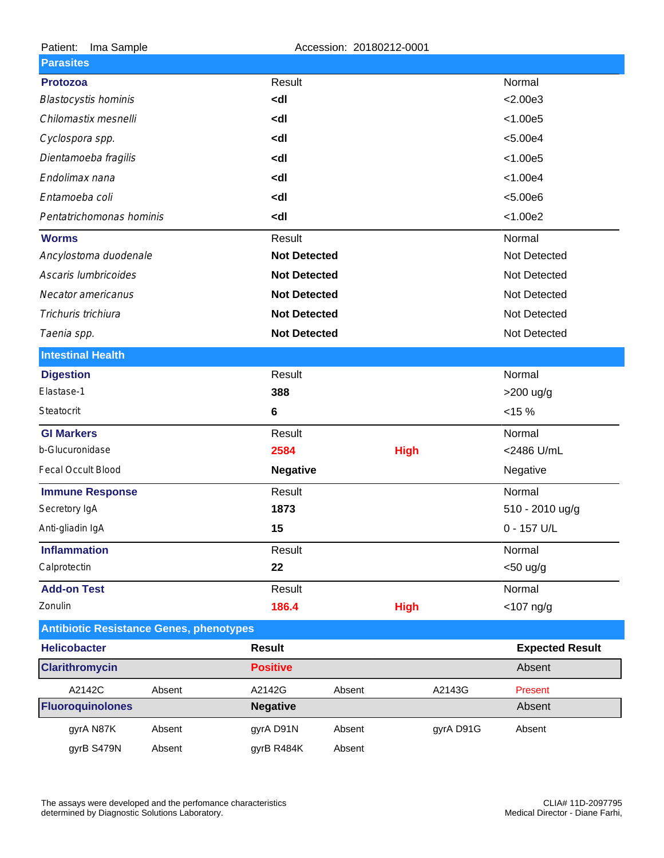| Patient:<br>Ima Sample                         |        | Accession: 20180212-0001                                         |        |             |           |                        |
|------------------------------------------------|--------|------------------------------------------------------------------|--------|-------------|-----------|------------------------|
| <b>Parasites</b>                               |        |                                                                  |        |             |           |                        |
| <b>Protozoa</b>                                |        | Result                                                           |        |             |           | Normal                 |
| <b>Blastocystis hominis</b>                    |        | <dl< td=""><td></td><td></td><td></td><td>&lt; 2.00e3</td></dl<> |        |             |           | < 2.00e3               |
| Chilomastix mesnelli                           |        | <dl< td=""><td></td><td></td><td></td><td>&lt; 1.00e5</td></dl<> |        |             |           | < 1.00e5               |
| Cyclospora spp.                                |        | <dl< td=""><td></td><td></td><td></td><td>&lt; 5.00e4</td></dl<> |        |             |           | < 5.00e4               |
| Dientamoeba fragilis                           |        | <dl< td=""><td></td><td></td><td></td><td>&lt; 1.00e5</td></dl<> |        |             |           | < 1.00e5               |
| Endolimax nana                                 |        | <dl< td=""><td></td><td></td><td></td><td>&lt; 1.00e4</td></dl<> |        |             |           | < 1.00e4               |
| Entamoeba coli                                 |        | <dl< td=""><td></td><td></td><td></td><td>&lt; 5.00e6</td></dl<> |        |             |           | < 5.00e6               |
| Pentatrichomonas hominis                       |        | <dl< td=""><td></td><td></td><td></td><td>&lt; 1.00e2</td></dl<> |        |             |           | < 1.00e2               |
| <b>Worms</b>                                   |        | Result                                                           |        |             |           | Normal                 |
| Ancylostoma duodenale                          |        | <b>Not Detected</b>                                              |        |             |           | Not Detected           |
| Ascaris lumbricoides                           |        | <b>Not Detected</b>                                              |        |             |           | Not Detected           |
| Necator americanus                             |        | <b>Not Detected</b>                                              |        |             |           | Not Detected           |
| Trichuris trichiura                            |        | <b>Not Detected</b>                                              |        |             |           | Not Detected           |
| Taenia spp.                                    |        | <b>Not Detected</b>                                              |        |             |           | Not Detected           |
| <b>Intestinal Health</b>                       |        |                                                                  |        |             |           |                        |
| <b>Digestion</b>                               |        | Result                                                           |        |             |           | Normal                 |
| Elastase-1                                     |        | 388                                                              |        |             |           | >200 ug/g              |
| Steatocrit                                     |        | 6                                                                |        |             |           | <15%                   |
| <b>GI Markers</b>                              |        | Result                                                           |        |             |           | Normal                 |
| b-Glucuronidase                                |        | 2584                                                             |        | <b>High</b> |           | <2486 U/mL             |
| Fecal Occult Blood                             |        | <b>Negative</b>                                                  |        |             |           | Negative               |
| <b>Immune Response</b>                         |        | Result                                                           |        |             |           | Normal                 |
| Secretory IgA                                  |        | 1873                                                             |        |             |           | 510 - 2010 ug/g        |
| Anti-gliadin IgA                               |        | 15                                                               |        |             |           | 0 - 157 U/L            |
| <b>Inflammation</b>                            |        | Result                                                           |        |             |           | Normal                 |
| Calprotectin                                   |        | 22                                                               |        |             |           | $<$ 50 ug/g            |
| <b>Add-on Test</b>                             |        | Result                                                           |        |             |           | Normal                 |
| Zonulin                                        |        | 186.4                                                            |        | <b>High</b> |           | $<$ 107 ng/g           |
| <b>Antibiotic Resistance Genes, phenotypes</b> |        |                                                                  |        |             |           |                        |
| <b>Helicobacter</b>                            |        | <b>Result</b>                                                    |        |             |           | <b>Expected Result</b> |
| <b>Clarithromycin</b>                          |        | <b>Positive</b>                                                  |        |             |           | Absent                 |
| A2142C                                         | Absent | A2142G                                                           | Absent |             | A2143G    | Present                |
| <b>Fluoroquinolones</b>                        |        | <b>Negative</b>                                                  |        |             |           | Absent                 |
| gyrA N87K                                      | Absent | gyrA D91N                                                        | Absent |             | gyrA D91G | Absent                 |
| gyrB S479N                                     | Absent | gyrB R484K                                                       | Absent |             |           |                        |